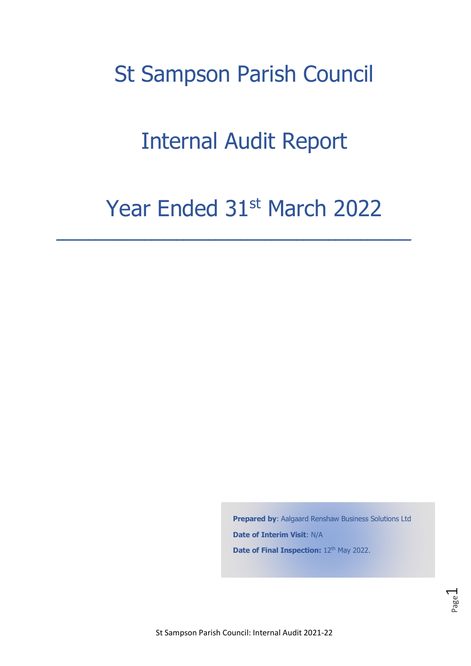# St Sampson Parish Council

# Internal Audit Report

# Year Ended 31st March 2022

**\_\_\_\_\_\_\_\_\_\_\_\_\_\_\_\_\_\_\_\_\_\_\_\_\_\_\_\_\_\_\_\_\_\_\_\_\_\_\_\_\_\_\_\_\_\_\_\_\_\_\_\_\_\_\_\_** 

**Prepared by: Aalgaard Renshaw Business Solutions Ltd Date of Interim Visit**: N/A Date of Final Inspection: 12<sup>th</sup> May 2022.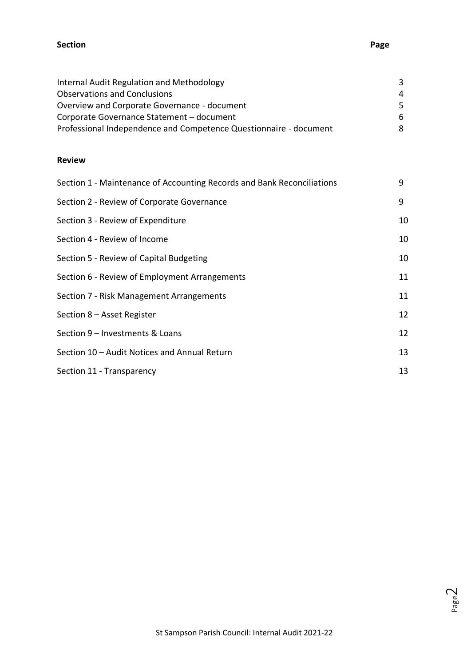#### **Section Page**

| Internal Audit Regulation and Methodology                         | 3   |
|-------------------------------------------------------------------|-----|
| <b>Observations and Conclusions</b>                               | 4   |
| Overview and Corporate Governance - document                      | -5. |
| Corporate Governance Statement - document                         | -6  |
| Professional Independence and Competence Questionnaire - document | 8   |

#### **Review**

| Section 1 - Maintenance of Accounting Records and Bank Reconciliations | 9  |
|------------------------------------------------------------------------|----|
| Section 2 - Review of Corporate Governance                             | 9  |
| Section 3 - Review of Expenditure                                      | 10 |
| Section 4 - Review of Income                                           | 10 |
| Section 5 - Review of Capital Budgeting                                | 10 |
| Section 6 - Review of Employment Arrangements                          | 11 |
| Section 7 - Risk Management Arrangements                               | 11 |
| Section 8 - Asset Register                                             | 12 |
| Section 9 - Investments & Loans                                        | 12 |
| Section 10 - Audit Notices and Annual Return                           | 13 |
| Section 11 - Transparency                                              | 13 |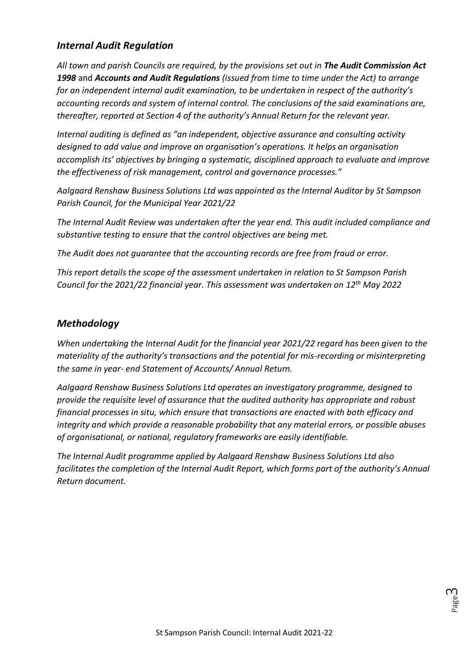## *Internal Audit Regulation*

*All town and parish Councils are required, by the provisions set out in The Audit Commission Act 1998* and *Accounts and Audit Regulations (issued from time to time under the Act) to arrange for an independent internal audit examination, to be undertaken in respect of the authority's accounting records and system of internal control. The conclusions of the said examinations are, thereafter, reported at Section 4 of the authority's Annual Return for the relevant year.*

*Internal auditing is defined as "an independent, objective assurance and consulting activity designed to add value and improve an organisation's operations. It helps an organisation accomplish its' objectives by bringing a systematic, disciplined approach to evaluate and improve the effectiveness of risk management, control and governance processes."*

*Aalgaard Renshaw Business Solutions Ltd was appointed as the Internal Auditor by St Sampson Parish Council, for the Municipal Year 2021/22*

*The Internal Audit Review was undertaken after the year end. This audit included compliance and substantive testing to ensure that the control objectives are being met.*

*The Audit does not guarantee that the accounting records are free from fraud or error.*

*This report details the scope of the assessment undertaken in relation to St Sampson Parish Council for the 2021/22 financial year. This assessment was undertaken on 12th May 2022*

## *Methodology*

*When undertaking the Internal Audit for the financial year 2021/22 regard has been given to the materiality of the authority's transactions and the potential for mis-recording or misinterpreting the same in year- end Statement of Accounts/ Annual Return.*

*Aalgaard Renshaw Business Solutions Ltd operates an investigatory programme, designed to provide the requisite level of assurance that the audited authority has appropriate and robust financial processes in situ, which ensure that transactions are enacted with both efficacy and integrity and which provide a reasonable probability that any material errors, or possible abuses of organisational, or national, regulatory frameworks are easily identifiable.*

*The Internal Audit programme applied by Aalgaard Renshaw Business Solutions Ltd also facilitates the completion of the Internal Audit Report, which forms part of the authority's Annual Return document.*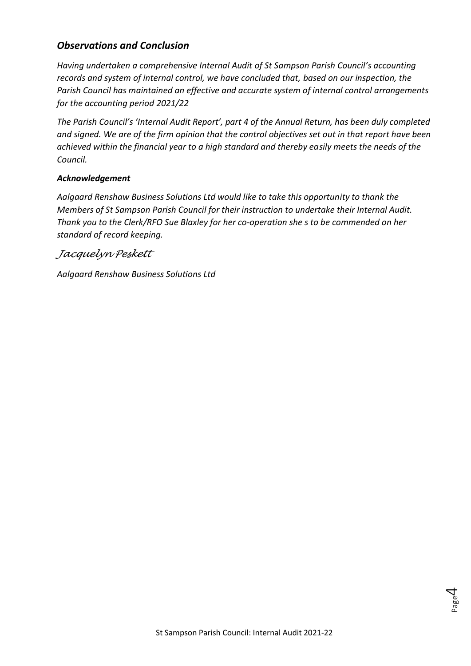## *Observations and Conclusion*

*Having undertaken a comprehensive Internal Audit of St Sampson Parish Council's accounting records and system of internal control, we have concluded that, based on our inspection, the Parish Council has maintained an effective and accurate system of internal control arrangements for the accounting period 2021/22*

*The Parish Council's 'Internal Audit Report', part 4 of the Annual Return, has been duly completed and signed. We are of the firm opinion that the control objectives set out in that report have been achieved within the financial year to a high standard and thereby easily meets the needs of the Council.*

#### *Acknowledgement*

*Aalgaard Renshaw Business Solutions Ltd would like to take this opportunity to thank the Members of St Sampson Parish Council for their instruction to undertake their Internal Audit. Thank you to the Clerk/RFO Sue Blaxley for her co-operation she s to be commended on her standard of record keeping.*

*Jacquelyn Peskett*

*Aalgaard Renshaw Business Solutions Ltd*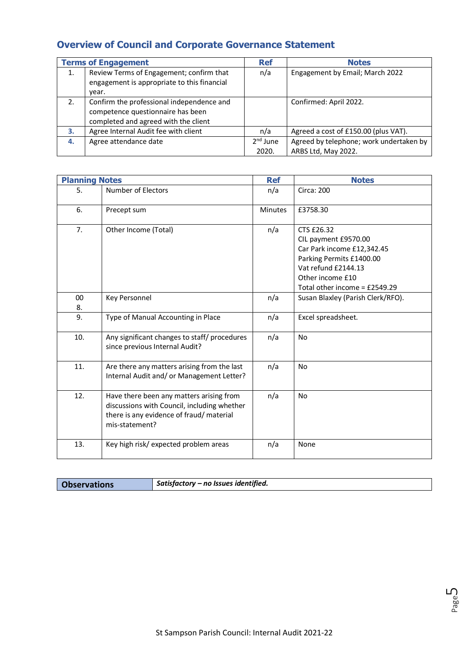# **Overview of Council and Corporate Governance Statement**

|    | <b>Terms of Engagement</b>                                                                                             | <b>Ref</b>          | <b>Notes</b>                                                   |
|----|------------------------------------------------------------------------------------------------------------------------|---------------------|----------------------------------------------------------------|
| 1. | Review Terms of Engagement; confirm that<br>engagement is appropriate to this financial<br>vear.                       | n/a                 | Engagement by Email; March 2022                                |
| 2. | Confirm the professional independence and<br>competence questionnaire has been<br>completed and agreed with the client |                     | Confirmed: April 2022.                                         |
| З. | Agree Internal Audit fee with client                                                                                   | n/a                 | Agreed a cost of £150.00 (plus VAT).                           |
| 4. | Agree attendance date                                                                                                  | $2nd$ June<br>2020. | Agreed by telephone; work undertaken by<br>ARBS Ltd, May 2022. |

| <b>Planning Notes</b> |                                                                                                                                                       | <b>Ref</b>     | <b>Notes</b>                                                                                                                                                             |
|-----------------------|-------------------------------------------------------------------------------------------------------------------------------------------------------|----------------|--------------------------------------------------------------------------------------------------------------------------------------------------------------------------|
| 5.                    | <b>Number of Electors</b>                                                                                                                             | n/a            | <b>Circa: 200</b>                                                                                                                                                        |
| 6.                    | Precept sum                                                                                                                                           | <b>Minutes</b> | £3758.30                                                                                                                                                                 |
| 7.                    | Other Income (Total)                                                                                                                                  | n/a            | CTS £26.32<br>CIL payment £9570.00<br>Car Park income £12,342.45<br>Parking Permits £1400.00<br>Vat refund £2144.13<br>Other income £10<br>Total other income = £2549.29 |
| 00<br>8.              | Key Personnel                                                                                                                                         | n/a            | Susan Blaxley (Parish Clerk/RFO).                                                                                                                                        |
| 9.                    | Type of Manual Accounting in Place                                                                                                                    | n/a            | Excel spreadsheet.                                                                                                                                                       |
| 10.                   | Any significant changes to staff/ procedures<br>since previous Internal Audit?                                                                        | n/a            | <b>No</b>                                                                                                                                                                |
| 11.                   | Are there any matters arising from the last<br>Internal Audit and/ or Management Letter?                                                              | n/a            | No                                                                                                                                                                       |
| 12.                   | Have there been any matters arising from<br>discussions with Council, including whether<br>there is any evidence of fraud/ material<br>mis-statement? | n/a            | No                                                                                                                                                                       |
| 13.                   | Key high risk/ expected problem areas                                                                                                                 | n/a            | None                                                                                                                                                                     |

|  | <b>Observations</b> | $^{\dagger}$ Satisfactory – no Issues identified. |
|--|---------------------|---------------------------------------------------|
|--|---------------------|---------------------------------------------------|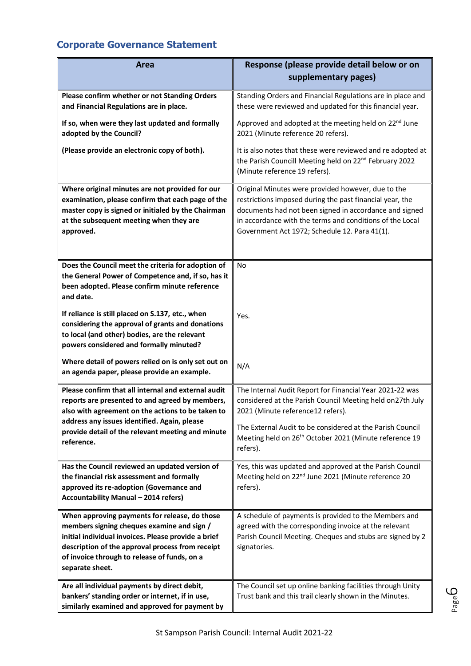# **Corporate Governance Statement**

| Area                                                                                                                                                                                                                                                                      | Response (please provide detail below or on                                                                                                                                                                                                                                           |
|---------------------------------------------------------------------------------------------------------------------------------------------------------------------------------------------------------------------------------------------------------------------------|---------------------------------------------------------------------------------------------------------------------------------------------------------------------------------------------------------------------------------------------------------------------------------------|
|                                                                                                                                                                                                                                                                           | supplementary pages)                                                                                                                                                                                                                                                                  |
| Please confirm whether or not Standing Orders<br>and Financial Regulations are in place.                                                                                                                                                                                  | Standing Orders and Financial Regulations are in place and<br>these were reviewed and updated for this financial year.                                                                                                                                                                |
| If so, when were they last updated and formally<br>adopted by the Council?                                                                                                                                                                                                | Approved and adopted at the meeting held on 22 <sup>nd</sup> June<br>2021 (Minute reference 20 refers).                                                                                                                                                                               |
| (Please provide an electronic copy of both).                                                                                                                                                                                                                              | It is also notes that these were reviewed and re adopted at<br>the Parish Councill Meeting held on 22 <sup>nd</sup> February 2022<br>(Minute reference 19 refers).                                                                                                                    |
| Where original minutes are not provided for our<br>examination, please confirm that each page of the<br>master copy is signed or initialed by the Chairman<br>at the subsequent meeting when they are<br>approved.                                                        | Original Minutes were provided however, due to the<br>restrictions imposed during the past financial year, the<br>documents had not been signed in accordance and signed<br>in accordance with the terms and conditions of the Local<br>Government Act 1972; Schedule 12. Para 41(1). |
| Does the Council meet the criteria for adoption of<br>the General Power of Competence and, if so, has it<br>been adopted. Please confirm minute reference<br>and date.                                                                                                    | No                                                                                                                                                                                                                                                                                    |
| If reliance is still placed on S.137, etc., when<br>considering the approval of grants and donations<br>to local (and other) bodies, are the relevant<br>powers considered and formally minuted?                                                                          | Yes.                                                                                                                                                                                                                                                                                  |
| Where detail of powers relied on is only set out on<br>an agenda paper, please provide an example.                                                                                                                                                                        | N/A                                                                                                                                                                                                                                                                                   |
| Please confirm that all internal and external audit<br>reports are presented to and agreed by members,<br>also with agreement on the actions to be taken to<br>address any issues identified. Again, please<br>provide detail of the relevant meeting and minute          | The Internal Audit Report for Financial Year 2021-22 was<br>considered at the Parish Council Meeting held on27th July<br>2021 (Minute reference12 refers).<br>The External Audit to be considered at the Parish Council                                                               |
| reference.                                                                                                                                                                                                                                                                | Meeting held on 26 <sup>th</sup> October 2021 (Minute reference 19<br>refers).                                                                                                                                                                                                        |
| Has the Council reviewed an updated version of<br>the financial risk assessment and formally<br>approved its re-adoption (Governance and<br>Accountability Manual - 2014 refers)                                                                                          | Yes, this was updated and approved at the Parish Council<br>Meeting held on 22 <sup>nd</sup> June 2021 (Minute reference 20<br>refers).                                                                                                                                               |
| When approving payments for release, do those<br>members signing cheques examine and sign /<br>initial individual invoices. Please provide a brief<br>description of the approval process from receipt<br>of invoice through to release of funds, on a<br>separate sheet. | A schedule of payments is provided to the Members and<br>agreed with the corresponding invoice at the relevant<br>Parish Council Meeting. Cheques and stubs are signed by 2<br>signatories.                                                                                           |
| Are all individual payments by direct debit,<br>bankers' standing order or internet, if in use,<br>similarly examined and approved for payment by                                                                                                                         | The Council set up online banking facilities through Unity<br>Trust bank and this trail clearly shown in the Minutes.                                                                                                                                                                 |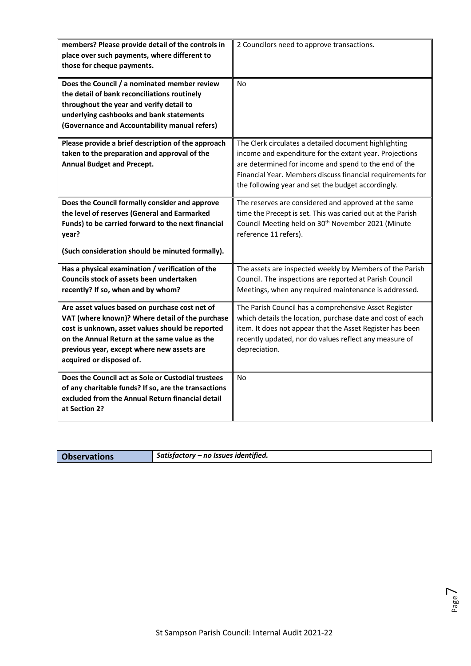| members? Please provide detail of the controls in<br>place over such payments, where different to<br>those for cheque payments.                                                                                                                                                  | 2 Councilors need to approve transactions.                                                                                                                                                                                                                                                    |
|----------------------------------------------------------------------------------------------------------------------------------------------------------------------------------------------------------------------------------------------------------------------------------|-----------------------------------------------------------------------------------------------------------------------------------------------------------------------------------------------------------------------------------------------------------------------------------------------|
| Does the Council / a nominated member review<br>the detail of bank reconciliations routinely<br>throughout the year and verify detail to<br>underlying cashbooks and bank statements<br>(Governance and Accountability manual refers)                                            | <b>No</b>                                                                                                                                                                                                                                                                                     |
| Please provide a brief description of the approach<br>taken to the preparation and approval of the<br><b>Annual Budget and Precept.</b>                                                                                                                                          | The Clerk circulates a detailed document highlighting<br>income and expenditure for the extant year. Projections<br>are determined for income and spend to the end of the<br>Financial Year. Members discuss financial requirements for<br>the following year and set the budget accordingly. |
| Does the Council formally consider and approve<br>the level of reserves (General and Earmarked<br>Funds) to be carried forward to the next financial<br>year?<br>(Such consideration should be minuted formally).                                                                | The reserves are considered and approved at the same<br>time the Precept is set. This was caried out at the Parish<br>Council Meeting held on 30 <sup>th</sup> November 2021 (Minute<br>reference 11 refers).                                                                                 |
| Has a physical examination / verification of the<br>Councils stock of assets been undertaken<br>recently? If so, when and by whom?                                                                                                                                               | The assets are inspected weekly by Members of the Parish<br>Council. The inspections are reported at Parish Council<br>Meetings, when any required maintenance is addressed.                                                                                                                  |
| Are asset values based on purchase cost net of<br>VAT (where known)? Where detail of the purchase<br>cost is unknown, asset values should be reported<br>on the Annual Return at the same value as the<br>previous year, except where new assets are<br>acquired or disposed of. | The Parish Council has a comprehensive Asset Register<br>which details the location, purchase date and cost of each<br>item. It does not appear that the Asset Register has been<br>recently updated, nor do values reflect any measure of<br>depreciation.                                   |
| Does the Council act as Sole or Custodial trustees<br>of any charitable funds? If so, are the transactions<br>excluded from the Annual Return financial detail<br>at Section 2?                                                                                                  | No                                                                                                                                                                                                                                                                                            |

**Observations** *Satisfactory – no Issues identified.*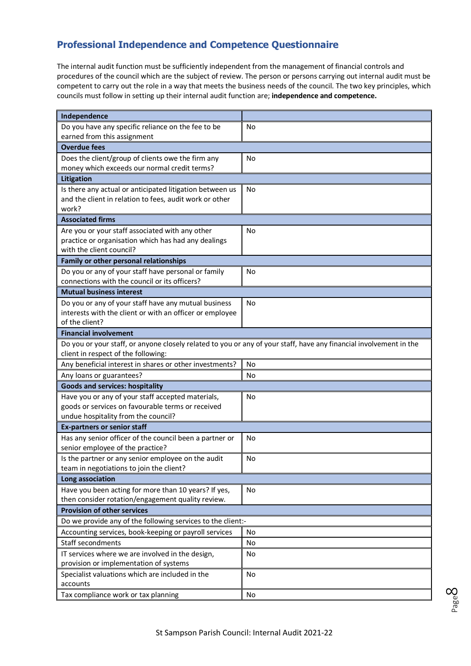## **Professional Independence and Competence Questionnaire**

The internal audit function must be sufficiently independent from the management of financial controls and procedures of the council which are the subject of review. The person or persons carrying out internal audit must be competent to carry out the role in a way that meets the business needs of the council. The two key principles, which councils must follow in setting up their internal audit function are; **independence and competence.**

| Independence                                                                                                       |           |
|--------------------------------------------------------------------------------------------------------------------|-----------|
| Do you have any specific reliance on the fee to be                                                                 | No        |
| earned from this assignment                                                                                        |           |
| <b>Overdue fees</b>                                                                                                |           |
| Does the client/group of clients owe the firm any                                                                  | No        |
| money which exceeds our normal credit terms?                                                                       |           |
| Litigation                                                                                                         |           |
| Is there any actual or anticipated litigation between us                                                           | No        |
| and the client in relation to fees, audit work or other                                                            |           |
| work?                                                                                                              |           |
| <b>Associated firms</b>                                                                                            |           |
| Are you or your staff associated with any other                                                                    | No        |
| practice or organisation which has had any dealings<br>with the client council?                                    |           |
| Family or other personal relationships                                                                             |           |
| Do you or any of your staff have personal or family                                                                | <b>No</b> |
| connections with the council or its officers?                                                                      |           |
| <b>Mutual business interest</b>                                                                                    |           |
| Do you or any of your staff have any mutual business                                                               | No        |
| interests with the client or with an officer or employee                                                           |           |
| of the client?                                                                                                     |           |
| <b>Financial involvement</b>                                                                                       |           |
| Do you or your staff, or anyone closely related to you or any of your staff, have any financial involvement in the |           |
| client in respect of the following:                                                                                |           |
| Any beneficial interest in shares or other investments?                                                            | No        |
| Any loans or guarantees?                                                                                           | No        |
| <b>Goods and services: hospitality</b>                                                                             |           |
| Have you or any of your staff accepted materials,                                                                  | No        |
| goods or services on favourable terms or received                                                                  |           |
| undue hospitality from the council?                                                                                |           |
| <b>Ex-partners or senior staff</b>                                                                                 |           |
| Has any senior officer of the council been a partner or<br>senior employee of the practice?                        | No        |
| Is the partner or any senior employee on the audit                                                                 | No        |
| team in negotiations to join the client?                                                                           |           |
| Long association                                                                                                   |           |
| Have you been acting for more than 10 years? If yes,                                                               | No        |
| then consider rotation/engagement quality review.                                                                  |           |
| <b>Provision of other services</b>                                                                                 |           |
| Do we provide any of the following services to the client:-                                                        |           |
| Accounting services, book-keeping or payroll services                                                              | No        |
| Staff secondments                                                                                                  | No        |
| IT services where we are involved in the design,                                                                   | No        |
| provision or implementation of systems                                                                             |           |
| Specialist valuations which are included in the                                                                    | No        |
| accounts                                                                                                           |           |
| Tax compliance work or tax planning                                                                                | No        |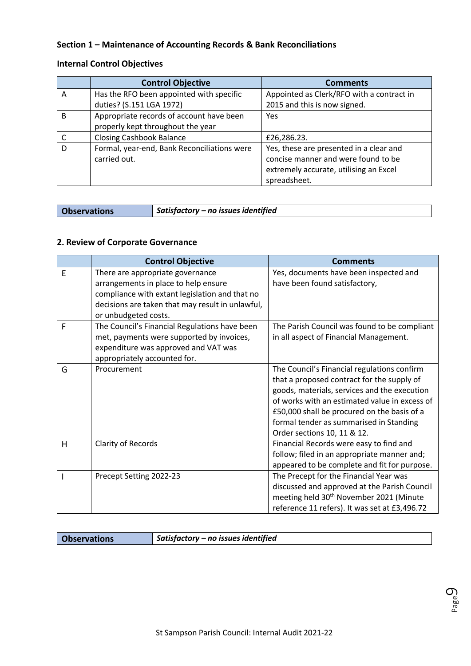#### **Section 1 – Maintenance of Accounting Records & Bank Reconciliations**

#### **Internal Control Objectives**

|   | <b>Control Objective</b>                    | <b>Comments</b>                           |
|---|---------------------------------------------|-------------------------------------------|
| A | Has the RFO been appointed with specific    | Appointed as Clerk/RFO with a contract in |
|   | duties? (S.151 LGA 1972)                    | 2015 and this is now signed.              |
| B | Appropriate records of account have been    | Yes                                       |
|   | properly kept throughout the year           |                                           |
|   | <b>Closing Cashbook Balance</b>             | £26,286.23.                               |
| D | Formal, year-end, Bank Reconciliations were | Yes, these are presented in a clear and   |
|   | carried out.                                | concise manner and were found to be       |
|   |                                             | extremely accurate, utilising an Excel    |
|   |                                             | spreadsheet.                              |

**Observations** *Satisfactory – no issues identified*

#### **2. Review of Corporate Governance**

|   | <b>Control Objective</b>                                                                                                                                                                               | <b>Comments</b>                                                                                                                                                                                                                                                                                                     |
|---|--------------------------------------------------------------------------------------------------------------------------------------------------------------------------------------------------------|---------------------------------------------------------------------------------------------------------------------------------------------------------------------------------------------------------------------------------------------------------------------------------------------------------------------|
| E | There are appropriate governance<br>arrangements in place to help ensure<br>compliance with extant legislation and that no<br>decisions are taken that may result in unlawful,<br>or unbudgeted costs. | Yes, documents have been inspected and<br>have been found satisfactory,                                                                                                                                                                                                                                             |
| F | The Council's Financial Regulations have been<br>met, payments were supported by invoices,<br>expenditure was approved and VAT was<br>appropriately accounted for.                                     | The Parish Council was found to be compliant<br>in all aspect of Financial Management.                                                                                                                                                                                                                              |
| G | Procurement                                                                                                                                                                                            | The Council's Financial regulations confirm<br>that a proposed contract for the supply of<br>goods, materials, services and the execution<br>of works with an estimated value in excess of<br>£50,000 shall be procured on the basis of a<br>formal tender as summarised in Standing<br>Order sections 10, 11 & 12. |
| H | Clarity of Records                                                                                                                                                                                     | Financial Records were easy to find and<br>follow; filed in an appropriate manner and;<br>appeared to be complete and fit for purpose.                                                                                                                                                                              |
|   | Precept Setting 2022-23                                                                                                                                                                                | The Precept for the Financial Year was<br>discussed and approved at the Parish Council<br>meeting held 30 <sup>th</sup> November 2021 (Minute<br>reference 11 refers). It was set at £3,496.72                                                                                                                      |

**Observations** *Satisfactory – no issues identified*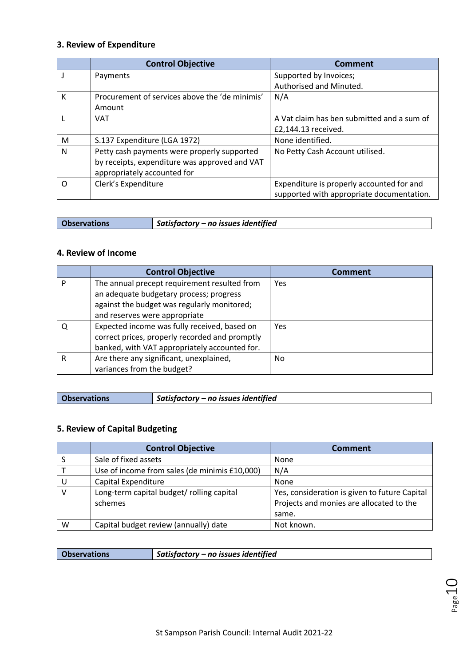### **3. Review of Expenditure**

|          | <b>Control Objective</b>                       | <b>Comment</b>                             |
|----------|------------------------------------------------|--------------------------------------------|
|          | Payments                                       | Supported by Invoices;                     |
|          |                                                | Authorised and Minuted.                    |
| К        | Procurement of services above the 'de minimis' | N/A                                        |
|          | Amount                                         |                                            |
|          | <b>VAT</b>                                     | A Vat claim has ben submitted and a sum of |
|          |                                                | £2,144.13 received.                        |
| M        | S.137 Expenditure (LGA 1972)                   | None identified.                           |
| N        | Petty cash payments were properly supported    | No Petty Cash Account utilised.            |
|          | by receipts, expenditure was approved and VAT  |                                            |
|          | appropriately accounted for                    |                                            |
| $\Omega$ | Clerk's Expenditure                            | Expenditure is properly accounted for and  |
|          |                                                | supported with appropriate documentation.  |

| <b>Observations</b> | $\vert$ Satisfactory – no issues identified |
|---------------------|---------------------------------------------|
|                     |                                             |

#### **4. Review of Income**

|   | <b>Control Objective</b>                       | <b>Comment</b> |
|---|------------------------------------------------|----------------|
| D | The annual precept requirement resulted from   | Yes            |
|   | an adequate budgetary process; progress        |                |
|   | against the budget was regularly monitored;    |                |
|   | and reserves were appropriate                  |                |
|   | Expected income was fully received, based on   | Yes            |
|   | correct prices, properly recorded and promptly |                |
|   | banked, with VAT appropriately accounted for.  |                |
| R | Are there any significant, unexplained,        | No             |
|   | variances from the budget?                     |                |

| <b>Observations</b> | Satisfactory – no issues identified |
|---------------------|-------------------------------------|

#### **5. Review of Capital Budgeting**

|   | <b>Control Objective</b>                             | <b>Comment</b>                                                                            |
|---|------------------------------------------------------|-------------------------------------------------------------------------------------------|
|   | Sale of fixed assets                                 | None                                                                                      |
|   | Use of income from sales (de minimis £10,000)        | N/A                                                                                       |
|   | Capital Expenditure                                  | None                                                                                      |
|   | Long-term capital budget/ rolling capital<br>schemes | Yes, consideration is given to future Capital<br>Projects and monies are allocated to the |
|   |                                                      | same.                                                                                     |
| W | Capital budget review (annually) date                | Not known.                                                                                |

**Observations** *Satisfactory – no issues identified*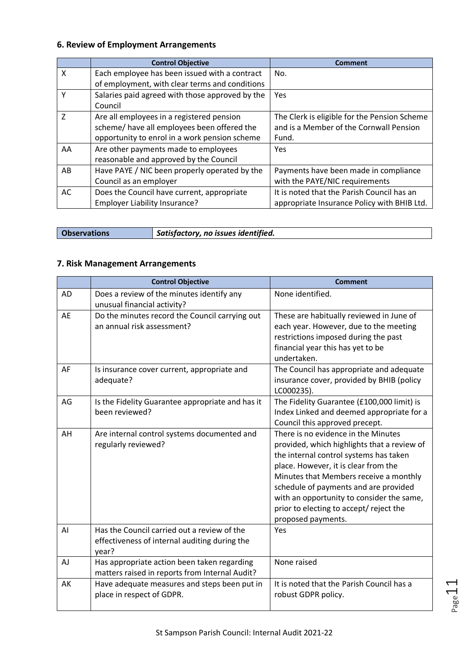### **6. Review of Employment Arrangements**

|                | <b>Control Objective</b>                        | Comment                                      |
|----------------|-------------------------------------------------|----------------------------------------------|
| $\times$       | Each employee has been issued with a contract   | No.                                          |
|                | of employment, with clear terms and conditions  |                                              |
| γ              | Salaries paid agreed with those approved by the | Yes                                          |
|                | Council                                         |                                              |
| $\overline{7}$ | Are all employees in a registered pension       | The Clerk is eligible for the Pension Scheme |
|                | scheme/ have all employees been offered the     | and is a Member of the Cornwall Pension      |
|                | opportunity to enrol in a work pension scheme   | Fund.                                        |
| AA             | Are other payments made to employees            | Yes                                          |
|                | reasonable and approved by the Council          |                                              |
| AB             | Have PAYE / NIC been properly operated by the   | Payments have been made in compliance        |
|                | Council as an employer                          | with the PAYE/NIC requirements               |
| AC             | Does the Council have current, appropriate      | It is noted that the Parish Council has an   |
|                | Employer Liability Insurance?                   | appropriate Insurance Policy with BHIB Ltd.  |

| <b>Observations</b> | Satisfactory, no issues identified. |
|---------------------|-------------------------------------|
|---------------------|-------------------------------------|

#### **7. Risk Management Arrangements**

|    | <b>Control Objective</b>                                                                              | <b>Comment</b>                                                                                                                                                                                                                                                                                                                                                        |
|----|-------------------------------------------------------------------------------------------------------|-----------------------------------------------------------------------------------------------------------------------------------------------------------------------------------------------------------------------------------------------------------------------------------------------------------------------------------------------------------------------|
| AD | Does a review of the minutes identify any<br>unusual financial activity?                              | None identified.                                                                                                                                                                                                                                                                                                                                                      |
| AE | Do the minutes record the Council carrying out<br>an annual risk assessment?                          | These are habitually reviewed in June of<br>each year. However, due to the meeting<br>restrictions imposed during the past<br>financial year this has yet to be<br>undertaken.                                                                                                                                                                                        |
| AF | Is insurance cover current, appropriate and<br>adequate?                                              | The Council has appropriate and adequate<br>insurance cover, provided by BHIB (policy<br>LC000235).                                                                                                                                                                                                                                                                   |
| AG | Is the Fidelity Guarantee appropriate and has it<br>been reviewed?                                    | The Fidelity Guarantee (£100,000 limit) is<br>Index Linked and deemed appropriate for a<br>Council this approved precept.                                                                                                                                                                                                                                             |
| AH | Are internal control systems documented and<br>regularly reviewed?                                    | There is no evidence in the Minutes<br>provided, which highlights that a review of<br>the internal control systems has taken<br>place. However, it is clear from the<br>Minutes that Members receive a monthly<br>schedule of payments and are provided<br>with an opportunity to consider the same,<br>prior to electing to accept/ reject the<br>proposed payments. |
| AI | Has the Council carried out a review of the<br>effectiveness of internal auditing during the<br>year? | <b>Yes</b>                                                                                                                                                                                                                                                                                                                                                            |
| AJ | Has appropriate action been taken regarding<br>matters raised in reports from Internal Audit?         | None raised                                                                                                                                                                                                                                                                                                                                                           |
| AK | Have adequate measures and steps been put in<br>place in respect of GDPR.                             | It is noted that the Parish Council has a<br>robust GDPR policy.                                                                                                                                                                                                                                                                                                      |

Page 1.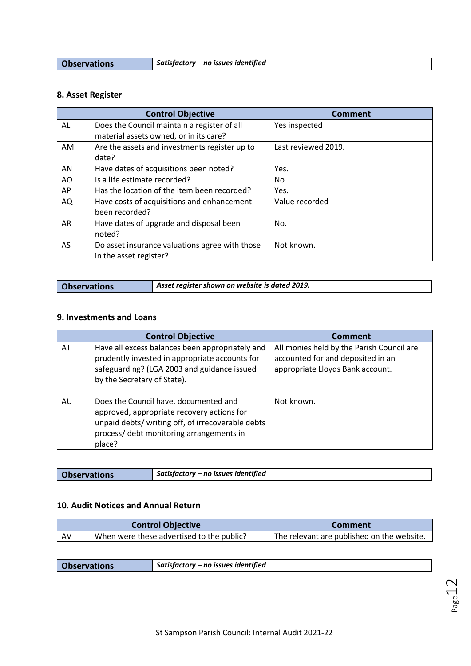**Observations** *Satisfactory – no issues identified*

# **8. Asset Register**

|    | <b>Control Objective</b>                       | <b>Comment</b>      |
|----|------------------------------------------------|---------------------|
| AL | Does the Council maintain a register of all    | Yes inspected       |
|    | material assets owned, or in its care?         |                     |
| AM | Are the assets and investments register up to  | Last reviewed 2019. |
|    | date?                                          |                     |
| AN | Have dates of acquisitions been noted?         | Yes.                |
| AO | Is a life estimate recorded?                   | No                  |
| AP | Has the location of the item been recorded?    | Yes.                |
| AQ | Have costs of acquisitions and enhancement     | Value recorded      |
|    | been recorded?                                 |                     |
| AR | Have dates of upgrade and disposal been        | No.                 |
|    | noted?                                         |                     |
| AS | Do asset insurance valuations agree with those | Not known.          |
|    | in the asset register?                         |                     |

|  |  |  | <b>Observations</b> |
|--|--|--|---------------------|
|  |  |  |                     |
|  |  |  |                     |

Asset register shown on website is dated 2019.

#### **9. Investments and Loans**

|    | <b>Control Objective</b>                                                                                                                                                                       | <b>Comment</b>                                                                                                     |
|----|------------------------------------------------------------------------------------------------------------------------------------------------------------------------------------------------|--------------------------------------------------------------------------------------------------------------------|
| AT | Have all excess balances been appropriately and<br>prudently invested in appropriate accounts for<br>safeguarding? (LGA 2003 and guidance issued<br>by the Secretary of State).                | All monies held by the Parish Council are<br>accounted for and deposited in an<br>appropriate Lloyds Bank account. |
| AU | Does the Council have, documented and<br>approved, appropriate recovery actions for<br>unpaid debts/ writing off, of irrecoverable debts<br>process/ debt monitoring arrangements in<br>place? | Not known.                                                                                                         |

| <b>Observations</b> | Satisfactory - no issues identified |
|---------------------|-------------------------------------|

#### **10. Audit Notices and Annual Return**

|      | <b>Control Objective</b>                  | Comment                                    |
|------|-------------------------------------------|--------------------------------------------|
| . AV | When were these advertised to the public? | The relevant are published on the website. |

| Satisfactory – no issues identified<br><b>Observations</b> |
|------------------------------------------------------------|
|------------------------------------------------------------|